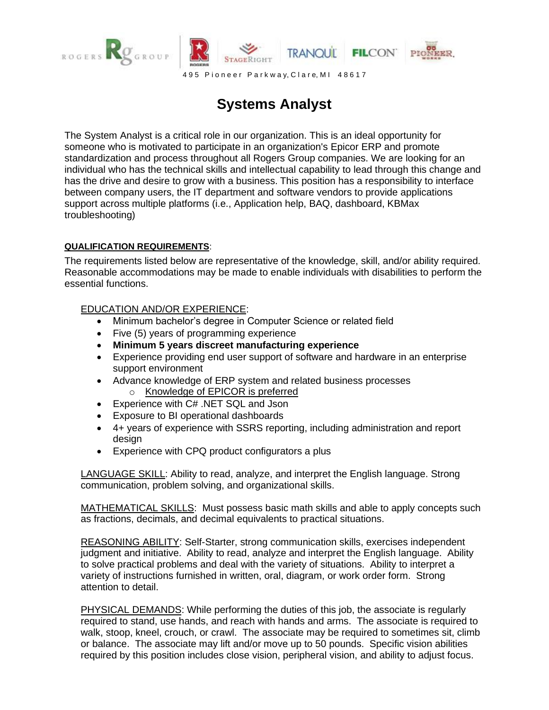

## **Systems Analyst**

The System Analyst is a critical role in our organization. This is an ideal opportunity for someone who is motivated to participate in an organization's Epicor ERP and promote standardization and process throughout all Rogers Group companies. We are looking for an individual who has the technical skills and intellectual capability to lead through this change and has the drive and desire to grow with a business. This position has a responsibility to interface between company users, the IT department and software vendors to provide applications support across multiple platforms (i.e., Application help, BAQ, dashboard, KBMax troubleshooting)

## **QUALIFICATION REQUIREMENTS**:

The requirements listed below are representative of the knowledge, skill, and/or ability required. Reasonable accommodations may be made to enable individuals with disabilities to perform the essential functions.

## EDUCATION AND/OR EXPERIENCE:

- Minimum bachelor's degree in Computer Science or related field
- Five (5) years of programming experience
- **Minimum 5 years discreet manufacturing experience**
- Experience providing end user support of software and hardware in an enterprise support environment
- Advance knowledge of ERP system and related business processes
	- o Knowledge of EPICOR is preferred
- Experience with C# .NET SQL and Json
- Exposure to BI operational dashboards
- 4+ years of experience with SSRS reporting, including administration and report design
- Experience with CPQ product configurators a plus

LANGUAGE SKILL: Ability to read, analyze, and interpret the English language. Strong communication, problem solving, and organizational skills.

MATHEMATICAL SKILLS: Must possess basic math skills and able to apply concepts such as fractions, decimals, and decimal equivalents to practical situations.

REASONING ABILITY: Self-Starter, strong communication skills, exercises independent judgment and initiative. Ability to read, analyze and interpret the English language. Ability to solve practical problems and deal with the variety of situations. Ability to interpret a variety of instructions furnished in written, oral, diagram, or work order form. Strong attention to detail.

PHYSICAL DEMANDS: While performing the duties of this job, the associate is regularly required to stand, use hands, and reach with hands and arms. The associate is required to walk, stoop, kneel, crouch, or crawl. The associate may be required to sometimes sit, climb or balance. The associate may lift and/or move up to 50 pounds. Specific vision abilities required by this position includes close vision, peripheral vision, and ability to adjust focus.